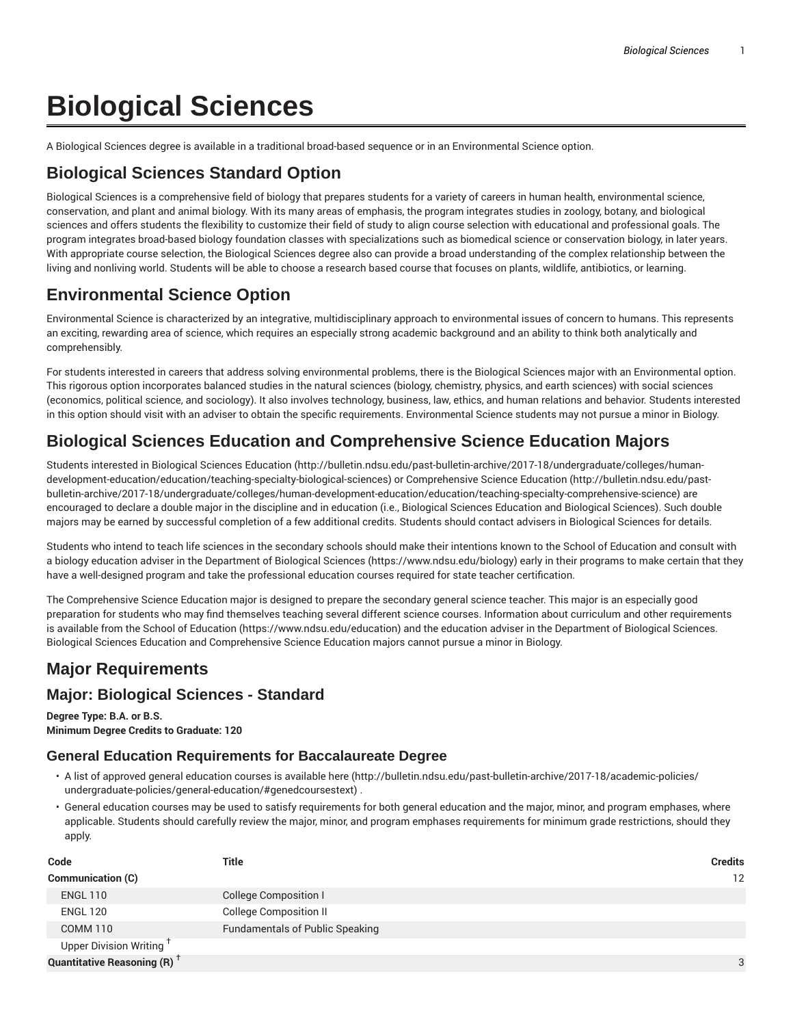# **Biological Sciences**

A Biological Sciences degree is available in a traditional broad-based sequence or in an Environmental Science option.

# **Biological Sciences Standard Option**

Biological Sciences is a comprehensive field of biology that prepares students for a variety of careers in human health, environmental science, conservation, and plant and animal biology. With its many areas of emphasis, the program integrates studies in zoology, botany, and biological sciences and offers students the flexibility to customize their field of study to align course selection with educational and professional goals. The program integrates broad-based biology foundation classes with specializations such as biomedical science or conservation biology, in later years. With appropriate course selection, the Biological Sciences degree also can provide a broad understanding of the complex relationship between the living and nonliving world. Students will be able to choose a research based course that focuses on plants, wildlife, antibiotics, or learning.

# **Environmental Science Option**

Environmental Science is characterized by an integrative, multidisciplinary approach to environmental issues of concern to humans. This represents an exciting, rewarding area of science, which requires an especially strong academic background and an ability to think both analytically and comprehensibly.

For students interested in careers that address solving environmental problems, there is the Biological Sciences major with an Environmental option. This rigorous option incorporates balanced studies in the natural sciences (biology, chemistry, physics, and earth sciences) with social sciences (economics, political science, and sociology). It also involves technology, business, law, ethics, and human relations and behavior. Students interested in this option should visit with an adviser to obtain the specific requirements. Environmental Science students may not pursue a minor in Biology.

# **Biological Sciences Education and Comprehensive Science Education Majors**

Students interested in Biological Sciences Education (http://bulletin.ndsu.edu/past-bulletin-archive/2017-18/undergraduate/colleges/humandevelopment-education/education/teaching-specialty-biological-sciences) or Comprehensive Science Education (http://bulletin.ndsu.edu/pastbulletin-archive/2017-18/undergraduate/colleges/human-development-education/education/teaching-specialty-comprehensive-science) are encouraged to declare a double major in the discipline and in education (i.e., Biological Sciences Education and Biological Sciences). Such double majors may be earned by successful completion of a few additional credits. Students should contact advisers in Biological Sciences for details.

Students who intend to teach life sciences in the secondary schools should make their intentions known to the School of Education and consult with a biology education adviser in the Department of Biological Sciences (https://www.ndsu.edu/biology) early in their programs to make certain that they have a well-designed program and take the professional education courses required for state teacher certification.

The Comprehensive Science Education major is designed to prepare the secondary general science teacher. This major is an especially good preparation for students who may find themselves teaching several different science courses. Information about curriculum and other requirements is available from the School of Education (https://www.ndsu.edu/education) and the education adviser in the Department of Biological Sciences. Biological Sciences Education and Comprehensive Science Education majors cannot pursue a minor in Biology.

# **Major Requirements**

## **Major: Biological Sciences - Standard**

**Degree Type: B.A. or B.S. Minimum Degree Credits to Graduate: 120**

#### **General Education Requirements for Baccalaureate Degree**

- A list of approved general education courses is available here (http://bulletin.ndsu.edu/past-bulletin-archive/2017-18/academic-policies/ undergraduate-policies/general-education/#genedcoursestext) .
- General education courses may be used to satisfy requirements for both general education and the major, minor, and program emphases, where applicable. Students should carefully review the major, minor, and program emphases requirements for minimum grade restrictions, should they apply.

| Code                                           | <b>Title</b>                           | <b>Credits</b> |
|------------------------------------------------|----------------------------------------|----------------|
| Communication (C)                              |                                        | 12             |
| <b>ENGL 110</b>                                | <b>College Composition I</b>           |                |
| <b>ENGL 120</b>                                | <b>College Composition II</b>          |                |
| COMM 110                                       | <b>Fundamentals of Public Speaking</b> |                |
| Upper Division Writing <sup>T</sup>            |                                        |                |
| <b>Quantitative Reasoning (R)</b> <sup>†</sup> |                                        | 3              |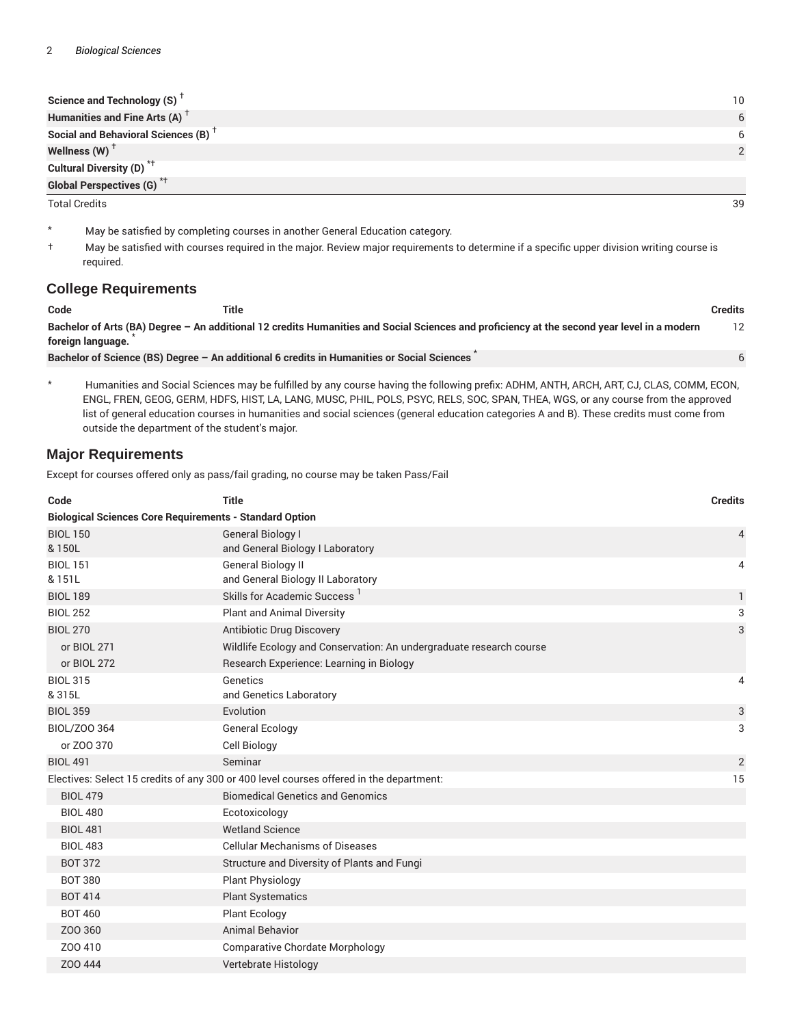| Science and Technology (S) <sup>T</sup>         | 10 |
|-------------------------------------------------|----|
| Humanities and Fine Arts (A) <sup>+</sup>       | 6  |
| Social and Behavioral Sciences (B) <sup>T</sup> | 6  |
| Wellness (W) $^{\dagger}$                       |    |
| Cultural Diversity (D) <sup>*†</sup>            |    |
| <b>Global Perspectives (G)</b> <sup>*†</sup>    |    |

Total Credits 39

- \* May be satisfied by completing courses in another General Education category.
- † May be satisfied with courses required in the major. Review major requirements to determine if a specific upper division writing course is required.

#### **College Requirements**

| Code              | Title                                                                                                                                       | Credits |
|-------------------|---------------------------------------------------------------------------------------------------------------------------------------------|---------|
| foreign language. | Bachelor of Arts (BA) Degree - An additional 12 credits Humanities and Social Sciences and proficiency at the second year level in a modern |         |
|                   | Bachelor of Science (BS) Degree - An additional 6 credits in Humanities or Social Sciences                                                  |         |

\* Humanities and Social Sciences may be fulfilled by any course having the following prefix: ADHM, ANTH, ARCH, ART, CJ, CLAS, COMM, ECON, ENGL, FREN, GEOG, GERM, HDFS, HIST, LA, LANG, MUSC, PHIL, POLS, PSYC, RELS, SOC, SPAN, THEA, WGS, or any course from the approved list of general education courses in humanities and social sciences (general education categories A and B). These credits must come from outside the department of the student's major.

#### **Major Requirements**

Except for courses offered only as pass/fail grading, no course may be taken Pass/Fail

| Code                                                           | <b>Title</b>                                                                                                                                 | <b>Credits</b> |
|----------------------------------------------------------------|----------------------------------------------------------------------------------------------------------------------------------------------|----------------|
| <b>Biological Sciences Core Requirements - Standard Option</b> |                                                                                                                                              |                |
| <b>BIOL 150</b><br>& 150L                                      | <b>General Biology I</b><br>and General Biology I Laboratory                                                                                 | 4              |
| <b>BIOL 151</b><br>& 151L                                      | <b>General Biology II</b><br>and General Biology II Laboratory                                                                               | 4              |
| <b>BIOL 189</b>                                                | Skills for Academic Success <sup>1</sup>                                                                                                     | $\mathbf{1}$   |
| <b>BIOL 252</b>                                                | <b>Plant and Animal Diversity</b>                                                                                                            | 3              |
| <b>BIOL 270</b><br>or BIOL 271<br>or BIOL 272                  | Antibiotic Drug Discovery<br>Wildlife Ecology and Conservation: An undergraduate research course<br>Research Experience: Learning in Biology | 3              |
| <b>BIOL 315</b><br>& 315L                                      | Genetics<br>and Genetics Laboratory                                                                                                          | 4              |
| <b>BIOL 359</b>                                                | Evolution                                                                                                                                    | 3              |
| BIOL/Z00 364                                                   | General Ecology                                                                                                                              | 3              |
| or ZOO 370                                                     | Cell Biology                                                                                                                                 |                |
| <b>BIOL 491</b>                                                | Seminar                                                                                                                                      | $\overline{2}$ |
|                                                                | Electives: Select 15 credits of any 300 or 400 level courses offered in the department:                                                      | 15             |
| <b>BIOL 479</b>                                                | <b>Biomedical Genetics and Genomics</b>                                                                                                      |                |
| <b>BIOL 480</b>                                                | Ecotoxicology                                                                                                                                |                |
| <b>BIOL 481</b>                                                | <b>Wetland Science</b>                                                                                                                       |                |
| <b>BIOL 483</b>                                                | <b>Cellular Mechanisms of Diseases</b>                                                                                                       |                |
| <b>BOT 372</b>                                                 | Structure and Diversity of Plants and Fungi                                                                                                  |                |
| <b>BOT 380</b>                                                 | <b>Plant Physiology</b>                                                                                                                      |                |
| <b>BOT 414</b>                                                 | <b>Plant Systematics</b>                                                                                                                     |                |
| <b>BOT 460</b>                                                 | <b>Plant Ecology</b>                                                                                                                         |                |
| Z00 360                                                        | <b>Animal Behavior</b>                                                                                                                       |                |
| Z00410                                                         | <b>Comparative Chordate Morphology</b>                                                                                                       |                |
| Z00444                                                         | Vertebrate Histology                                                                                                                         |                |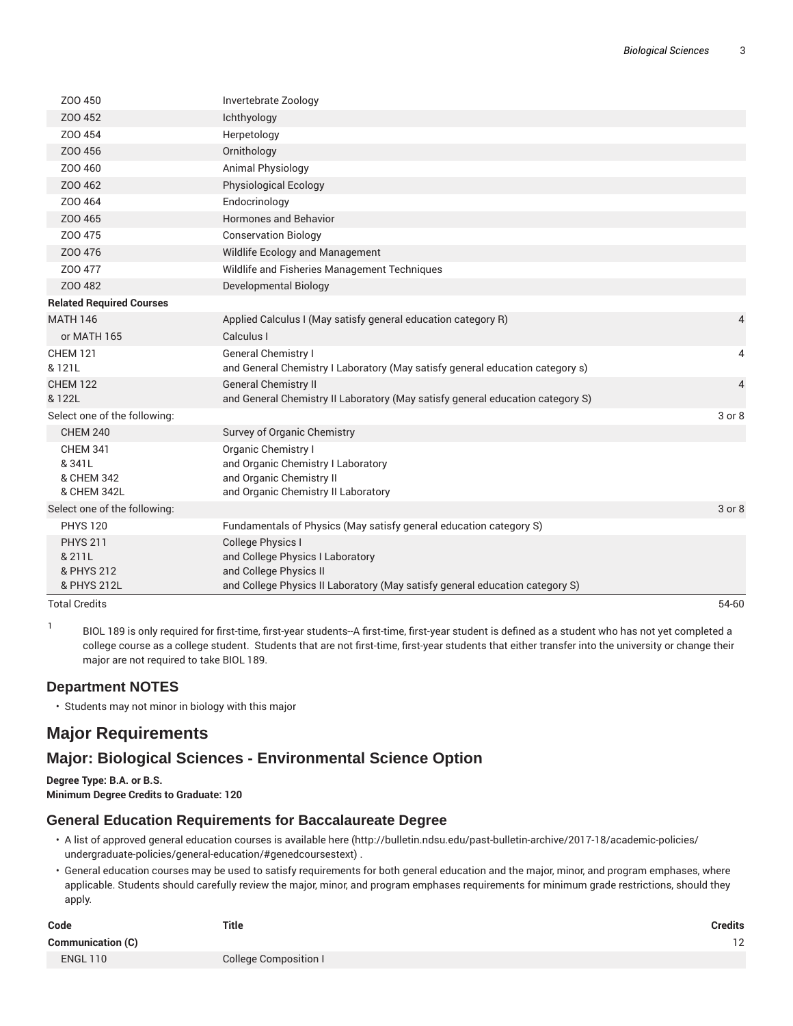| <b>Total Credits</b>            |                                                                                                                                            | 54-60          |
|---------------------------------|--------------------------------------------------------------------------------------------------------------------------------------------|----------------|
| & PHYS 212<br>& PHYS 212L       | and College Physics I Laboratory<br>and College Physics II<br>and College Physics II Laboratory (May satisfy general education category S) |                |
| <b>PHYS 211</b><br>& 211L       | <b>College Physics I</b>                                                                                                                   |                |
| <b>PHYS 120</b>                 | Fundamentals of Physics (May satisfy general education category S)                                                                         |                |
| Select one of the following:    |                                                                                                                                            | 3 or 8         |
| & CHEM 342L                     | and Organic Chemistry II Laboratory                                                                                                        |                |
| & CHEM 342                      | and Organic Chemistry II                                                                                                                   |                |
| & 341L                          | and Organic Chemistry I Laboratory                                                                                                         |                |
| <b>CHEM 341</b>                 | Organic Chemistry I                                                                                                                        |                |
| <b>CHEM 240</b>                 | Survey of Organic Chemistry                                                                                                                |                |
| Select one of the following:    |                                                                                                                                            | 3 or 8         |
| <b>CHEM 122</b><br>& 122L       | <b>General Chemistry II</b><br>and General Chemistry II Laboratory (May satisfy general education category S)                              | $\overline{4}$ |
| & 121L                          | and General Chemistry I Laboratory (May satisfy general education category s)                                                              |                |
| <b>CHEM 121</b>                 | General Chemistry I                                                                                                                        | 4              |
| or MATH 165                     | Calculus I                                                                                                                                 |                |
| <b>MATH 146</b>                 | Applied Calculus I (May satisfy general education category R)                                                                              | 4              |
| <b>Related Required Courses</b> |                                                                                                                                            |                |
| Z00482                          | Developmental Biology                                                                                                                      |                |
| Z00 477                         | Wildlife and Fisheries Management Techniques                                                                                               |                |
| Z00 476                         | Wildlife Ecology and Management                                                                                                            |                |
| Z00 475                         | <b>Conservation Biology</b>                                                                                                                |                |
| Z00 465                         | Hormones and Behavior                                                                                                                      |                |
| Z00 464                         | Endocrinology                                                                                                                              |                |
| Z00 462                         | <b>Physiological Ecology</b>                                                                                                               |                |
| Z00 460                         | Animal Physiology                                                                                                                          |                |
| Z00456                          | Ornithology                                                                                                                                |                |
| Z00454                          | Herpetology                                                                                                                                |                |
| Z00452                          | Ichthyology                                                                                                                                |                |
| Z00 450                         | Invertebrate Zoology                                                                                                                       |                |

BIOL 189 is only required for first-time, first-year students--A first-time, first-year student is defined as a student who has not yet completed a college course as a college student. Students that are not first-time, first-year students that either transfer into the university or change their major are not required to take BIOL 189.

#### **Department NOTES**

1

• Students may not minor in biology with this major

# **Major Requirements**

## **Major: Biological Sciences - Environmental Science Option**

**Degree Type: B.A. or B.S. Minimum Degree Credits to Graduate: 120**

#### **General Education Requirements for Baccalaureate Degree**

- A list of approved general education courses is available here (http://bulletin.ndsu.edu/past-bulletin-archive/2017-18/academic-policies/ undergraduate-policies/general-education/#genedcoursestext) .
- General education courses may be used to satisfy requirements for both general education and the major, minor, and program emphases, where applicable. Students should carefully review the major, minor, and program emphases requirements for minimum grade restrictions, should they apply.

| Code                     | <b>Title</b>                 | Credits |
|--------------------------|------------------------------|---------|
| <b>Communication (C)</b> |                              | 12      |
| <b>ENGL 110</b>          | <b>College Composition I</b> |         |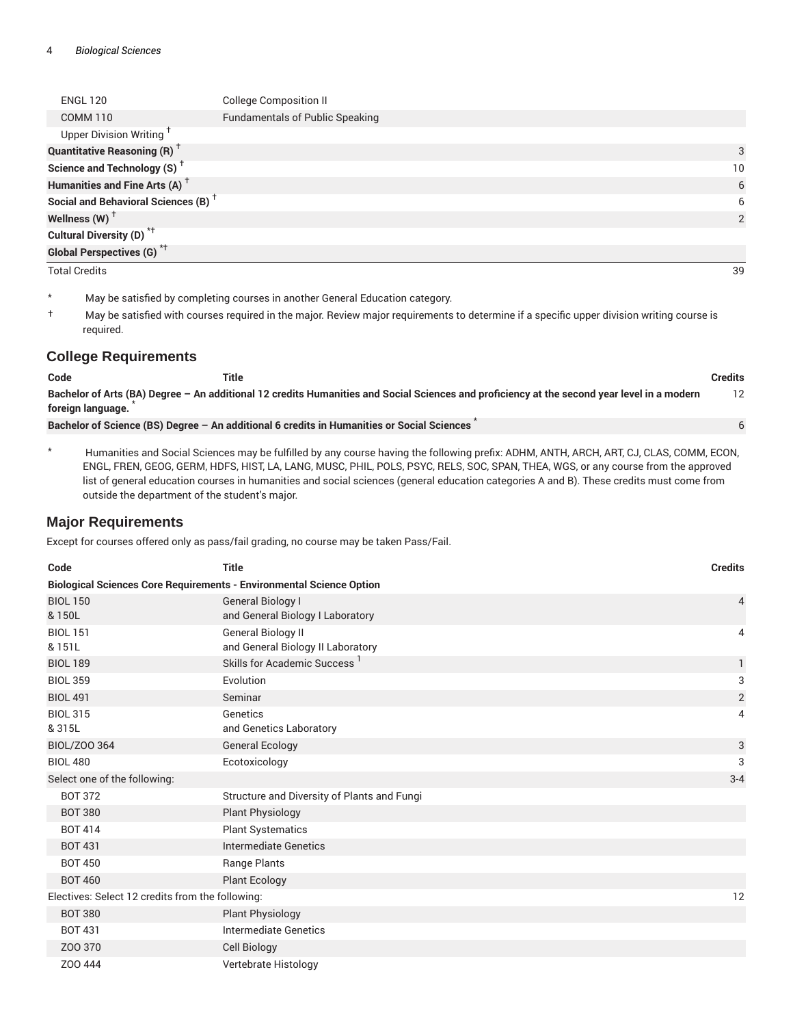| <b>ENGL 120</b>                                 | <b>College Composition II</b>          |    |
|-------------------------------------------------|----------------------------------------|----|
| <b>COMM 110</b>                                 | <b>Fundamentals of Public Speaking</b> |    |
| Upper Division Writing <sup>T</sup>             |                                        |    |
| <b>Quantitative Reasoning (R)</b> <sup>†</sup>  |                                        | 3  |
| Science and Technology (S) <sup>+</sup>         |                                        | 10 |
| Humanities and Fine Arts (A) <sup>+</sup>       |                                        | 6  |
| Social and Behavioral Sciences (B) <sup>+</sup> |                                        | 6  |
| Wellness (W) $^{\dagger}$                       |                                        | 2  |
| Cultural Diversity (D) <sup>*†</sup>            |                                        |    |
| <b>Global Perspectives (G)</b> <sup>*†</sup>    |                                        |    |
| <b>Total Credits</b>                            |                                        | 39 |

\* May be satisfied by completing courses in another General Education category.

† May be satisfied with courses required in the major. Review major requirements to determine if a specific upper division writing course is required.

#### **College Requirements**

| Code              | Title                                                                                                                                       | Credits |
|-------------------|---------------------------------------------------------------------------------------------------------------------------------------------|---------|
|                   | Bachelor of Arts (BA) Degree - An additional 12 credits Humanities and Social Sciences and proficiency at the second year level in a modern | 12      |
| foreign language. |                                                                                                                                             |         |
|                   | Bachelor of Science (BS) Degree - An additional 6 credits in Humanities or Social Sciences                                                  |         |

\* Humanities and Social Sciences may be fulfilled by any course having the following prefix: ADHM, ANTH, ARCH, ART, CJ, CLAS, COMM, ECON, ENGL, FREN, GEOG, GERM, HDFS, HIST, LA, LANG, MUSC, PHIL, POLS, PSYC, RELS, SOC, SPAN, THEA, WGS, or any course from the approved list of general education courses in humanities and social sciences (general education categories A and B). These credits must come from outside the department of the student's major.

#### **Major Requirements**

Except for courses offered only as pass/fail grading, no course may be taken Pass/Fail.

| Code                                                                        | <b>Title</b>                                                   | <b>Credits</b> |
|-----------------------------------------------------------------------------|----------------------------------------------------------------|----------------|
| <b>Biological Sciences Core Requirements - Environmental Science Option</b> |                                                                |                |
| <b>BIOL 150</b>                                                             | <b>General Biology I</b>                                       | 4              |
| & 150L                                                                      | and General Biology I Laboratory                               |                |
| <b>BIOL 151</b><br>& 151L                                                   | <b>General Biology II</b><br>and General Biology II Laboratory | 4              |
| <b>BIOL 189</b>                                                             | Skills for Academic Success <sup>1</sup>                       | 1              |
| <b>BIOL 359</b>                                                             | Evolution                                                      | 3              |
| <b>BIOL 491</b>                                                             | Seminar                                                        | $\overline{2}$ |
| <b>BIOL 315</b>                                                             | Genetics                                                       | 4              |
| & 315L                                                                      | and Genetics Laboratory                                        |                |
| BIOL/Z00 364                                                                | <b>General Ecology</b>                                         | 3              |
| <b>BIOL 480</b>                                                             | Ecotoxicology                                                  | 3              |
| Select one of the following:                                                |                                                                | $3 - 4$        |
| <b>BOT 372</b>                                                              | Structure and Diversity of Plants and Fungi                    |                |
| <b>BOT 380</b>                                                              | <b>Plant Physiology</b>                                        |                |
| <b>BOT 414</b>                                                              | <b>Plant Systematics</b>                                       |                |
| <b>BOT 431</b>                                                              | <b>Intermediate Genetics</b>                                   |                |
| <b>BOT 450</b>                                                              | Range Plants                                                   |                |
| <b>BOT 460</b>                                                              | <b>Plant Ecology</b>                                           |                |
| Electives: Select 12 credits from the following:                            |                                                                | 12             |
| <b>BOT 380</b>                                                              | <b>Plant Physiology</b>                                        |                |
| <b>BOT 431</b>                                                              | <b>Intermediate Genetics</b>                                   |                |
| Z00 370                                                                     | <b>Cell Biology</b>                                            |                |
| Z00 444                                                                     | Vertebrate Histology                                           |                |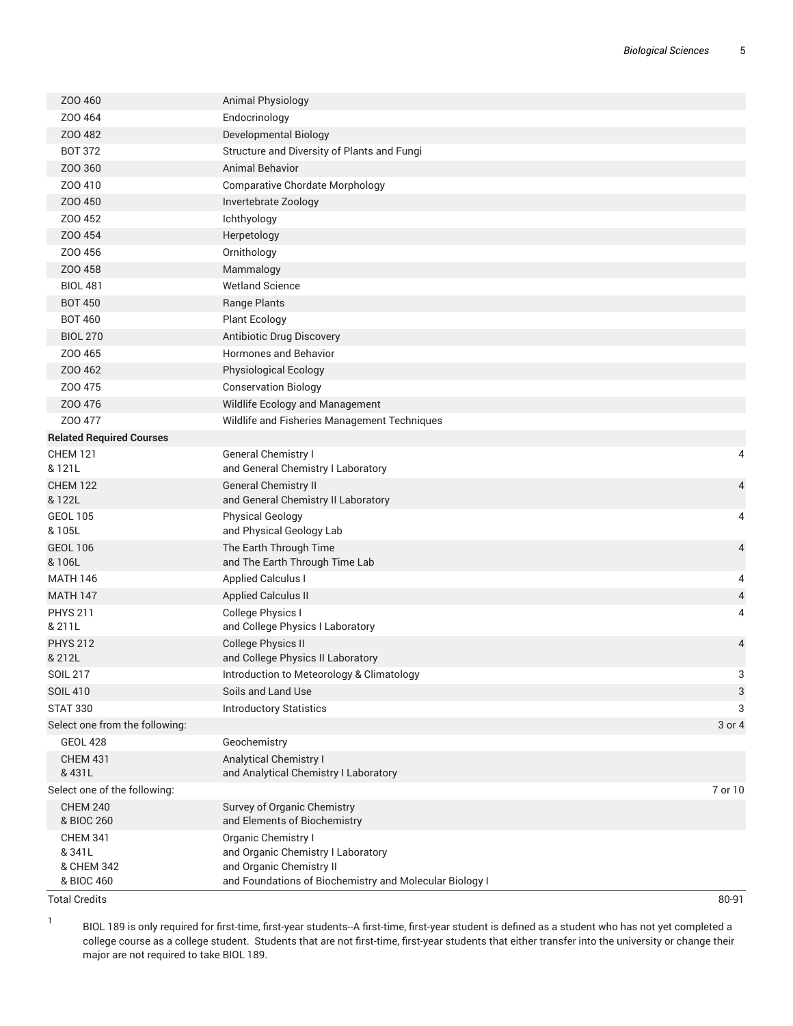| ZOO 460                                | <b>Animal Physiology</b>                                                            |         |
|----------------------------------------|-------------------------------------------------------------------------------------|---------|
| Z00464                                 | Endocrinology                                                                       |         |
| ZOO 482                                | Developmental Biology                                                               |         |
| <b>BOT 372</b>                         | Structure and Diversity of Plants and Fungi                                         |         |
| Z00 360                                | <b>Animal Behavior</b>                                                              |         |
| Z00410                                 | <b>Comparative Chordate Morphology</b>                                              |         |
| Z00 450                                | Invertebrate Zoology                                                                |         |
| Z00 452                                | Ichthyology                                                                         |         |
| Z00454                                 | Herpetology                                                                         |         |
| Z00 456                                | Ornithology                                                                         |         |
| Z00 458                                | Mammalogy                                                                           |         |
| <b>BIOL 481</b>                        | <b>Wetland Science</b>                                                              |         |
| <b>BOT 450</b>                         | Range Plants                                                                        |         |
| <b>BOT 460</b>                         | <b>Plant Ecology</b>                                                                |         |
| <b>BIOL 270</b>                        | Antibiotic Drug Discovery                                                           |         |
| Z00 465                                | Hormones and Behavior                                                               |         |
| Z00 462                                | Physiological Ecology                                                               |         |
| Z00 475                                | <b>Conservation Biology</b>                                                         |         |
| Z00 476                                | Wildlife Ecology and Management                                                     |         |
| Z00 477                                | Wildlife and Fisheries Management Techniques                                        |         |
| <b>Related Required Courses</b>        |                                                                                     |         |
| <b>CHEM 121</b>                        | <b>General Chemistry I</b>                                                          | 4       |
| & 121L                                 | and General Chemistry I Laboratory                                                  |         |
| <b>CHEM 122</b>                        | <b>General Chemistry II</b>                                                         | 4       |
| & 122L                                 | and General Chemistry II Laboratory                                                 |         |
| <b>GEOL 105</b>                        | <b>Physical Geology</b>                                                             | 4       |
| & 105L                                 | and Physical Geology Lab                                                            |         |
| <b>GEOL 106</b><br>& 106L              | The Earth Through Time                                                              | 4       |
| <b>MATH 146</b>                        | and The Earth Through Time Lab<br><b>Applied Calculus I</b>                         | 4       |
| <b>MATH 147</b>                        | <b>Applied Calculus II</b>                                                          | 4       |
| <b>PHYS 211</b>                        | College Physics I                                                                   | 4       |
| & 211L                                 | and College Physics I Laboratory                                                    |         |
| <b>PHYS 212</b>                        | <b>College Physics II</b>                                                           | 4       |
| & 212L                                 | and College Physics II Laboratory                                                   |         |
| <b>SOIL 217</b>                        | Introduction to Meteorology & Climatology                                           | 3       |
| <b>SOIL 410</b>                        | Soils and Land Use                                                                  | 3       |
| <b>STAT 330</b>                        | <b>Introductory Statistics</b>                                                      | 3       |
| Select one from the following:         |                                                                                     | 3 or 4  |
| <b>GEOL 428</b>                        | Geochemistry                                                                        |         |
| <b>CHEM 431</b>                        | Analytical Chemistry I                                                              |         |
| & 431L<br>Select one of the following: | and Analytical Chemistry I Laboratory                                               |         |
| <b>CHEM 240</b>                        | Survey of Organic Chemistry                                                         | 7 or 10 |
| & BIOC 260                             | and Elements of Biochemistry                                                        |         |
| <b>CHEM 341</b>                        | Organic Chemistry I                                                                 |         |
| & 341L                                 | and Organic Chemistry I Laboratory                                                  |         |
| & CHEM 342                             | and Organic Chemistry II<br>and Foundations of Biochemistry and Molecular Biology I |         |
| & BIOC 460                             |                                                                                     |         |

Total Credits 80-91

1

BIOL 189 is only required for first-time, first-year students--A first-time, first-year student is defined as a student who has not yet completed a college course as a college student. Students that are not first-time, first-year students that either transfer into the university or change their major are not required to take BIOL 189.